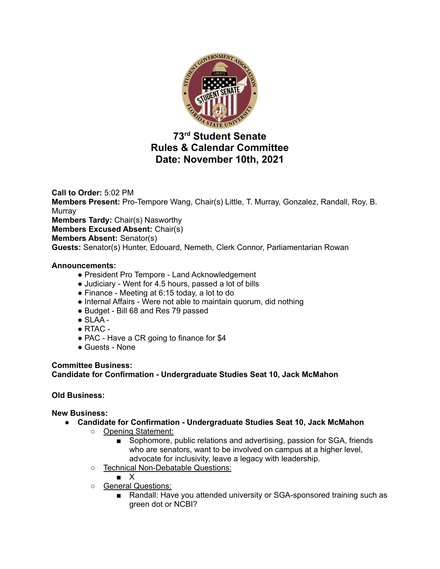

# **73 rd Student Senate Rules & Calendar Committee Date: November 10th, 2021**

**Call to Order:** 5:02 PM **Members Present:** Pro-Tempore Wang, Chair(s) Little, T. Murray, Gonzalez, Randall, Roy, B. **Murray Members Tardy:** Chair(s) Nasworthy **Members Excused Absent:** Chair(s) **Members Absent:** Senator(s) **Guests:** Senator(s) Hunter, Edouard, Nemeth, Clerk Connor, Parliamentarian Rowan

## **Announcements:**

- President Pro Tempore Land Acknowledgement
- Judiciary Went for 4.5 hours, passed a lot of bills
- Finance Meeting at 6:15 today, a lot to do
- Internal Affairs Were not able to maintain quorum, did nothing
- Budget Bill 68 and Res 79 passed
- $\bullet$  SLAA -
- $\bullet$  RTAC -
- PAC Have a CR going to finance for \$4
- Guests None

## **Committee Business:**

# **Candidate for Confirmation - Undergraduate Studies Seat 10, Jack McMahon**

# **Old Business:**

## **New Business:**

- **● Candidate for Confirmation - Undergraduate Studies Seat 10, Jack McMahon**
	- Opening Statement:
		- Sophomore, public relations and advertising, passion for SGA, friends who are senators, want to be involved on campus at a higher level, advocate for inclusivity, leave a legacy with leadership.
	- Technical Non-Debatable Questions:

■ X

- General Questions:
	- Randall: Have you attended university or SGA-sponsored training such as green dot or NCBI?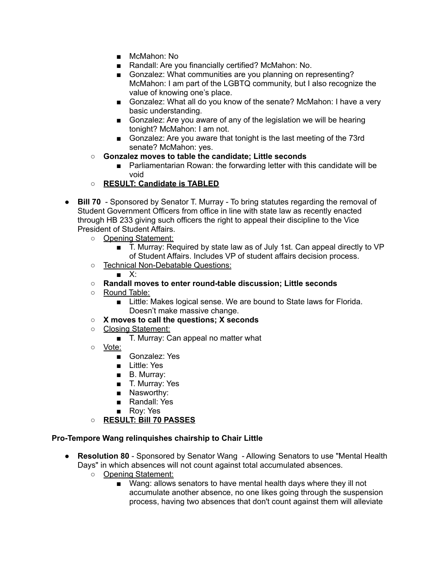- McMahon: No
- Randall: Are you financially certified? McMahon: No.
- Gonzalez: What communities are you planning on representing? McMahon: I am part of the LGBTQ community, but I also recognize the value of knowing one's place.
- Gonzalez: What all do you know of the senate? McMahon: I have a very basic understanding.
- Gonzalez: Are you aware of any of the legislation we will be hearing tonight? McMahon: I am not.
- Gonzalez: Are you aware that tonight is the last meeting of the 73rd senate? McMahon: yes.
- **Gonzalez moves to table the candidate; Little seconds**
	- Parliamentarian Rowan: the forwarding letter with this candidate will be void
- **○ RESULT: Candidate is TABLED**
- **Bill 70** Sponsored by Senator T. Murray To bring statutes regarding the removal of Student Government Officers from office in line with state law as recently enacted through HB 233 giving such officers the right to appeal their discipline to the Vice President of Student Affairs.
	- Opening Statement:
		- T. Murray: Required by state law as of July 1st. Can appeal directly to VP of Student Affairs. Includes VP of student affairs decision process.
	- Technical Non-Debatable Questions:
		- X:

#### **○ Randall moves to enter round-table discussion; Little seconds**

- Round Table:
	- Little: Makes logical sense. We are bound to State laws for Florida. Doesn't make massive change.
- **○ X moves to call the questions; X seconds**
- Closing Statement:
	- T. Murray: Can appeal no matter what
- Vote:
	- Gonzalez: Yes
	- Little: Yes
	- B. Murray:
	- T. Murray: Yes
	- Nasworthy:
	- Randall: Yes
	- Roy: Yes
- **○ RESULT: Bill 70 PASSES**

#### **Pro-Tempore Wang relinquishes chairship to Chair Little**

- **Resolution 80** Sponsored by Senator Wang Allowing Senators to use "Mental Health Days" in which absences will not count against total accumulated absences.
	- Opening Statement:
		- Wang: allows senators to have mental health days where they ill not accumulate another absence, no one likes going through the suspension process, having two absences that don't count against them will alleviate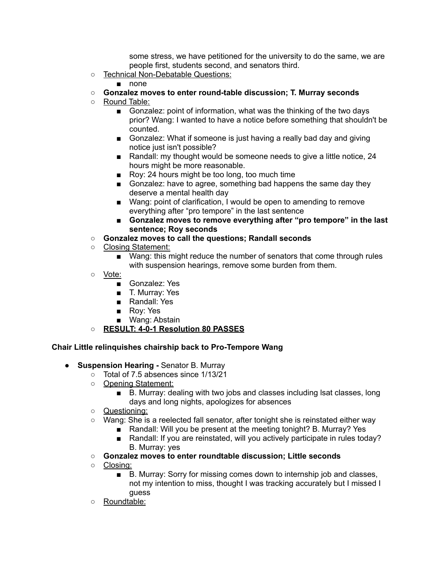some stress, we have petitioned for the university to do the same, we are people first, students second, and senators third.

- Technical Non-Debatable Questions:
	- none
- **○ Gonzalez moves to enter round-table discussion; T. Murray seconds**
- Round Table:
	- Gonzalez: point of information, what was the thinking of the two days prior? Wang: I wanted to have a notice before something that shouldn't be counted.
	- Gonzalez: What if someone is just having a really bad day and giving notice just isn't possible?
	- Randall: my thought would be someone needs to give a little notice, 24 hours might be more reasonable.
	- Roy: 24 hours might be too long, too much time
	- Gonzalez: have to agree, something bad happens the same day they deserve a mental health day
	- Wang: point of clarification, I would be open to amending to remove everything after "pro tempore" in the last sentence
	- **■ Gonzalez moves to remove everything after "pro tempore" in the last sentence; Roy seconds**
- **○ Gonzalez moves to call the questions; Randall seconds**
- Closing Statement:
	- Wang: this might reduce the number of senators that come through rules with suspension hearings, remove some burden from them.
- Vote:
	- Gonzalez: Yes
	- T. Murray: Yes
	- Randall: Yes
	- Rov: Yes
	- Wang: Abstain
- **○ RESULT: 4-0-1 Resolution 80 PASSES**

## **Chair Little relinquishes chairship back to Pro-Tempore Wang**

- **● Suspension Hearing -** Senator B. Murray
	- Total of 7.5 absences since 1/13/21
	- Opening Statement:
		- B. Murray: dealing with two jobs and classes including lsat classes, long days and long nights, apologizes for absences
	- Questioning:
	- Wang: She is a reelected fall senator, after tonight she is reinstated either way
		- Randall: Will you be present at the meeting tonight? B. Murray? Yes
		- Randall: If you are reinstated, will you actively participate in rules today? B. Murray: yes
	- **○ Gonzalez moves to enter roundtable discussion; Little seconds**
	- Closing:
		- B. Murray: Sorry for missing comes down to internship job and classes, not my intention to miss, thought I was tracking accurately but I missed I guess
	- Roundtable: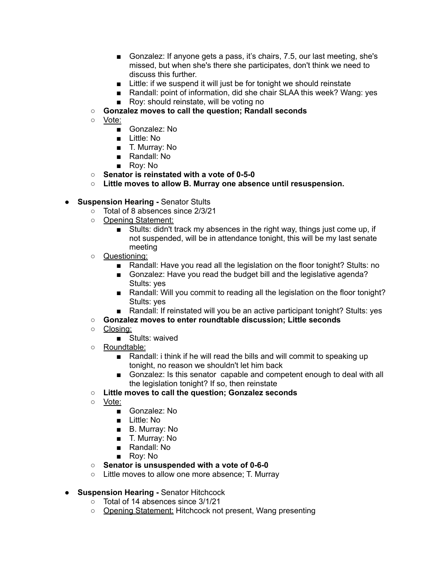- Gonzalez: If anyone gets a pass, it's chairs, 7.5, our last meeting, she's missed, but when she's there she participates, don't think we need to discuss this further.
- Little: if we suspend it will just be for tonight we should reinstate
- Randall: point of information, did she chair SLAA this week? Wang: yes
- Roy: should reinstate, will be voting no
- **○ Gonzalez moves to call the question; Randall seconds**
- Vote:
	- Gonzalez: No
	- Little: No
	- T. Murray: No
	- Randall: No
	- Roy: No
- **Senator is reinstated with a vote of 0-5-0**
- **○ Little moves to allow B. Murray one absence until resuspension.**
- **● Suspension Hearing -** Senator Stults
	- Total of 8 absences since 2/3/21
		- Opening Statement:
			- Stults: didn't track my absences in the right way, things just come up, if not suspended, will be in attendance tonight, this will be my last senate meeting
		- Questioning:
			- Randall: Have you read all the legislation on the floor tonight? Stults: no
			- Gonzalez: Have you read the budget bill and the legislative agenda? Stults: yes
			- Randall: Will you commit to reading all the legislation on the floor tonight? Stults: yes
			- Randall: If reinstated will you be an active participant tonight? Stults: yes
		- **○ Gonzalez moves to enter roundtable discussion; Little seconds**
		- Closing:
			- Stults: waived
		- Roundtable:
			- Randall: i think if he will read the bills and will commit to speaking up tonight, no reason we shouldn't let him back
			- Gonzalez: Is this senator capable and competent enough to deal with all the legislation tonight? If so, then reinstate
		- **○ Little moves to call the question; Gonzalez seconds**
		- Vote:
			- Gonzalez: No
			- Little: No
			- B. Murray: No
			- T. Murray: No
			- Randall: No
			- Roy: No
		- **○ Senator is unsuspended with a vote of 0-6-0**
		- Little moves to allow one more absence; T. Murray
- **● Suspension Hearing -** Senator Hitchcock
	- $\circ$  Total of 14 absences since 3/1/21
	- Opening Statement: Hitchcock not present, Wang presenting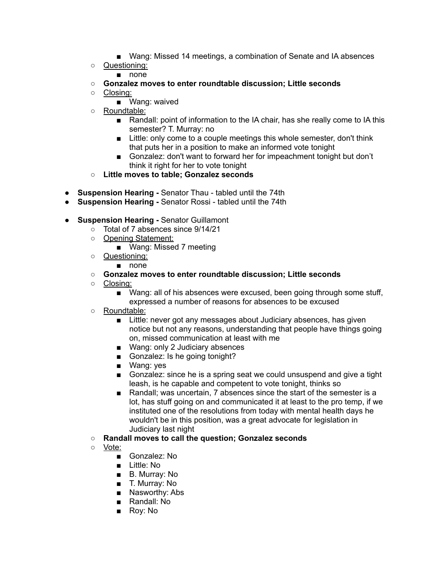- Wang: Missed 14 meetings, a combination of Senate and IA absences
- Questioning:
	- none
- **○ Gonzalez moves to enter roundtable discussion; Little seconds**
- Closing:
	- Wang: waived
- Roundtable:
	- Randall: point of information to the IA chair, has she really come to IA this semester? T. Murray: no
	- Little: only come to a couple meetings this whole semester, don't think that puts her in a position to make an informed vote tonight
	- Gonzalez: don't want to forward her for impeachment tonight but don't think it right for her to vote tonight
- **○ Little moves to table; Gonzalez seconds**
- **● Suspension Hearing -** Senator Thau tabled until the 74th
- **Suspension Hearing -** Senator Rossi tabled until the 74th
- **● Suspension Hearing -** Senator Guillamont
	- Total of 7 absences since 9/14/21
	- Opening Statement:
		- Wang: Missed 7 meeting
	- Questioning:
		- none
	- **○ Gonzalez moves to enter roundtable discussion; Little seconds**
	- Closing:
		- Wang: all of his absences were excused, been going through some stuff, expressed a number of reasons for absences to be excused
	- Roundtable:
		- Little: never got any messages about Judiciary absences, has given notice but not any reasons, understanding that people have things going on, missed communication at least with me
		- Wang: only 2 Judiciary absences
		- Gonzalez: Is he going tonight?
		- Wang: yes
		- Gonzalez: since he is a spring seat we could unsuspend and give a tight leash, is he capable and competent to vote tonight, thinks so
		- Randall; was uncertain, 7 absences since the start of the semester is a lot, has stuff going on and communicated it at least to the pro temp, if we instituted one of the resolutions from today with mental health days he wouldn't be in this position, was a great advocate for legislation in Judiciary last night
	- **○ Randall moves to call the question; Gonzalez seconds**
	- Vote:
		- Gonzalez: No
		- Little: No
		- B. Murray: No
		- T. Murray: No
		- Nasworthy: Abs
		- Randall: No
		- Roy: No